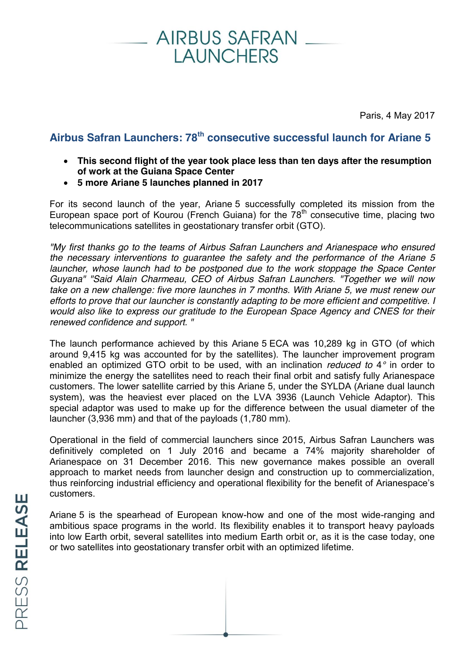## **AIRBUS SAFRAN LAUNCHERS**

Paris, 4 May 2017

### **Airbus Safran Launchers: 78th consecutive successful launch for Ariane 5**

- This second flight of the year took place less than ten days after the resumption **of work at the Guiana Space Center**
- x **5 more Ariane 5 launches planned in 2017**

For its second launch of the year, Ariane 5 successfully completed its mission from the European space port of Kourou (French Guiana) for the  $78<sup>th</sup>$  consecutive time, placing two telecommunications satellites in geostationary transfer orbit (GTO).

*"My first thanks go to the teams of Airbus Safran Launchers and Arianespace who ensured the necessary interventions to guarantee the safety and the performance of the Ariane 5 launcher, whose launch had to be postponed due to the work stoppage the Space Center Guyana" "Said Alain Charmeau, CEO of Airbus Safran Launchers. "Together we will now take on a new challenge: five more launches in 7 months. With Ariane 5, we must renew our efforts to prove that our launcher is constantly adapting to be more efficient and competitive. I would also like to express our gratitude to the European Space Agency and CNES for their renewed confidence and support. "* 

The launch performance achieved by this Ariane 5 ECA was 10,289 kg in GTO (of which around 9,415 kg was accounted for by the satellites). The launcher improvement program enabled an optimized GTO orbit to be used, with an inclination *reduced to* 4*°* in order to minimize the energy the satellites need to reach their final orbit and satisfy fully Arianespace customers. The lower satellite carried by this Ariane 5, under the SYLDA (Ariane dual launch system), was the heaviest ever placed on the LVA 3936 (Launch Vehicle Adaptor). This special adaptor was used to make up for the difference between the usual diameter of the launcher (3,936 mm) and that of the payloads (1,780 mm).

Operational in the field of commercial launchers since 2015, Airbus Safran Launchers was definitively completed on 1 July 2016 and became a 74% majority shareholder of Arianespace on 31 December 2016. This new governance makes possible an overall approach to market needs from launcher design and construction up to commercialization, thus reinforcing industrial efficiency and operational flexibility for the benefit of Arianespace's customers.

Ariane 5 is the spearhead of European know-how and one of the most wide-ranging and ambitious space programs in the world. Its flexibility enables it to transport heavy payloads into low Earth orbit, several satellites into medium Earth orbit or, as it is the case today, one or two satellites into geostationary transfer orbit with an optimized lifetime.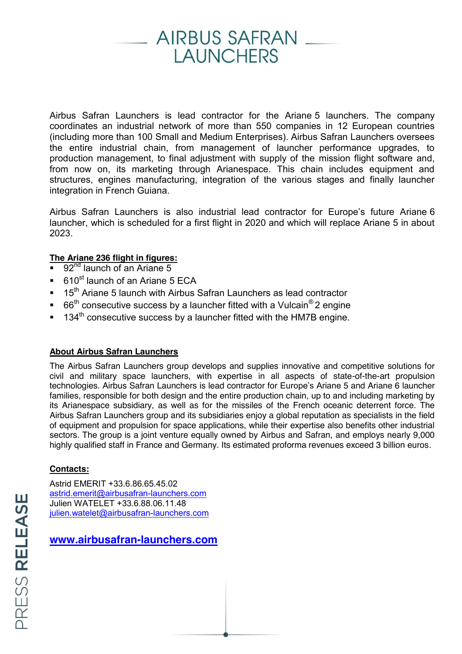# **AIRBUS SAFRAN LAUNCHERS**

Airbus Safran Launchers is lead contractor for the Ariane 5 launchers. The company coordinates an industrial network of more than 550 companies in 12 European countries (including more than 100 Small and Medium Enterprises). Airbus Safran Launchers oversees the entire industrial chain, from management of launcher performance upgrades, to production management, to final adjustment with supply of the mission flight software and, from now on, its marketing through Arianespace. This chain includes equipment and structures, engines manufacturing, integration of the various stages and finally launcher integration in French Guiana.

Airbus Safran Launchers is also industrial lead contractor for Europe's future Ariane 6 launcher, which is scheduled for a first flight in 2020 and which will replace Ariane 5 in about 2023.

#### **The Ariane 236 flight in figures:**

- 92<sup>nd</sup> launch of an Ariane 5
- 610<sup>st</sup> launch of an Ariane 5 ECA
- 15<sup>th</sup> Ariane 5 launch with Airbus Safran Launchers as lead contractor
- $66<sup>th</sup>$  consecutive success by a launcher fitted with a Vulcain<sup>®</sup> 2 engine
- $134<sup>th</sup>$  consecutive success by a launcher fitted with the HM7B engine.

#### **About Airbus Safran Launchers**

The Airbus Safran Launchers group develops and supplies innovative and competitive solutions for civil and military space launchers, with expertise in all aspects of state-of-the-art propulsion technologies. Airbus Safran Launchers is lead contractor for Europe's Ariane 5 and Ariane 6 launcher families, responsible for both design and the entire production chain, up to and including marketing by its Arianespace subsidiary, as well as for the missiles of the French oceanic deterrent force. The Airbus Safran Launchers group and its subsidiaries enjoy a global reputation as specialists in the field of equipment and propulsion for space applications, while their expertise also benefits other industrial sectors. The group is a joint venture equally owned by Airbus and Safran, and employs nearly 9,000 highly qualified staff in France and Germany. Its estimated proforma revenues exceed 3 billion euros.

#### **Contacts:**

Astrid EMERIT +33.6.86.65.45.02 [astrid.emerit@airbusafran-launchers.com](mailto:astrid.emerit@airbusafran-launchers.com) Julien WATELET +33.6.88.06.11.48 [julien.watelet@airbusafran-launchers.com](mailto:julien.watelet@airbusafran-launchers.com)

**[www.airbusafran-launchers.com](http://www.airbusafran-launchers.com/)**